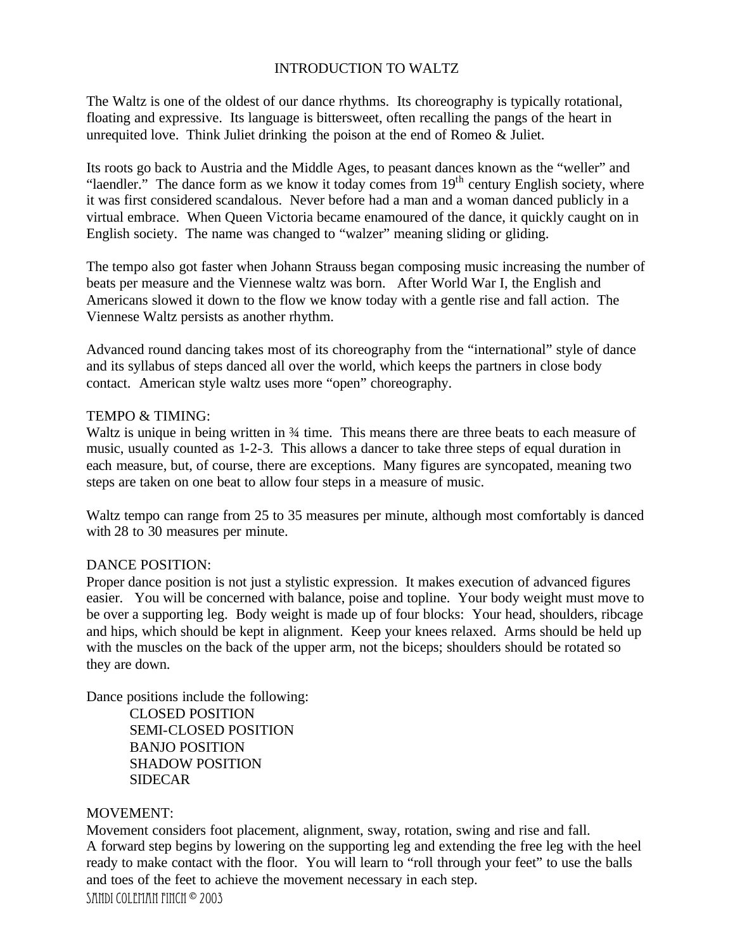# INTRODUCTION TO WALTZ

The Waltz is one of the oldest of our dance rhythms. Its choreography is typically rotational, floating and expressive. Its language is bittersweet, often recalling the pangs of the heart in unrequited love. Think Juliet drinking the poison at the end of Romeo & Juliet.

Its roots go back to Austria and the Middle Ages, to peasant dances known as the "weller" and "laendler." The dance form as we know it today comes from  $19<sup>th</sup>$  century English society, where it was first considered scandalous. Never before had a man and a woman danced publicly in a virtual embrace. When Queen Victoria became enamoured of the dance, it quickly caught on in English society. The name was changed to "walzer" meaning sliding or gliding.

The tempo also got faster when Johann Strauss began composing music increasing the number of beats per measure and the Viennese waltz was born. After World War I, the English and Americans slowed it down to the flow we know today with a gentle rise and fall action. The Viennese Waltz persists as another rhythm.

Advanced round dancing takes most of its choreography from the "international" style of dance and its syllabus of steps danced all over the world, which keeps the partners in close body contact. American style waltz uses more "open" choreography.

# TEMPO & TIMING:

Waltz is unique in being written in  $\frac{3}{4}$  time. This means there are three beats to each measure of music, usually counted as 1-2-3. This allows a dancer to take three steps of equal duration in each measure, but, of course, there are exceptions. Many figures are syncopated, meaning two steps are taken on one beat to allow four steps in a measure of music.

Waltz tempo can range from 25 to 35 measures per minute, although most comfortably is danced with 28 to 30 measures per minute.

# DANCE POSITION:

Proper dance position is not just a stylistic expression. It makes execution of advanced figures easier. You will be concerned with balance, poise and topline. Your body weight must move to be over a supporting leg. Body weight is made up of four blocks: Your head, shoulders, ribcage and hips, which should be kept in alignment. Keep your knees relaxed. Arms should be held up with the muscles on the back of the upper arm, not the biceps; shoulders should be rotated so they are down.

Dance positions include the following:

CLOSED POSITION SEMI-CLOSED POSITION BANJO POSITION SHADOW POSITION SIDECAR

### MOVEMENT:

SANDI COLEMAN FINCH <sup>©</sup> 2003 Movement considers foot placement, alignment, sway, rotation, swing and rise and fall. A forward step begins by lowering on the supporting leg and extending the free leg with the heel ready to make contact with the floor. You will learn to "roll through your feet" to use the balls and toes of the feet to achieve the movement necessary in each step.